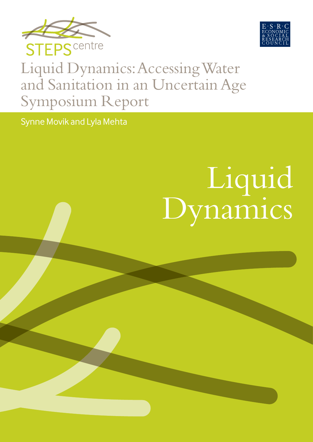



# Liquid Dynamics: Accessing Water and Sanitation in an Uncertain Age Symposium Report

Synne Movik and Lyla Mehta

# Liquid Dynamics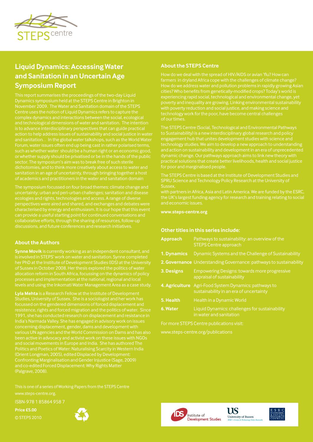

# **Liquid Dynamics: Accessing Water and Sanitation in an Uncertain Age Symposium Report**

Dynamics symposium held at the STEPS Centre in Brighton in complex dynamics and interactions between the social, ecological and technological dimensions of water and sanitation. The intention action to help address issues of sustainability and social justice in water and sanitation. . In the global water talkshops, such as the World Water of academics and practitioners in the water and sanitation domain

The symposium focussed on four broad themes: climate change and uncertainty; urban and peri-urban challenges; sanitation and disease ecologies and rights, technologies and access. A range of diverse perspectives were aired and shared, and exchanges and debates were characterised by energy and enthusiasm. It is our hope that this event can provide a useful starting point for continued conversations and

#### **About the Authors**

**Synne Movik** is currently working as an independent consultant, and processes and implementation at the national, regional and local levels and using the Inkomati Water Management Area as a case study.

**Lyla Mehta** is a Research Fellow at the Institute of Development Studies, University of Sussex. She is a sociologist and her work has India's Narmada Valley. She has engaged in advisory work on issues various UN agencies and the World Commission on Dams and has also and social movements in Europe and India. She has authored The Politics and Poetics of Water: Naturalising Scarcity in Western India Confronting Marginalisation and Gender Injustice (Sage, 2009) and co-edited Forced Displacement: Why Rights Matter (Palgrave, 2008).

www.steps-centre.org.

ISBN-978 1 85864 958 7

**Price £5.00** © STEPS 2010



#### **About the STEPS Centre**

How do we deal with the spread of HIV/AIDS or avian 'flu? How can farmers in dryland Africa cope with the challenges of climate change? How do we address water and pollution problems in rapidly growing Asian technology work for the poor, have become central challenges of our times.

The STEPS Centre (Social, Technological and Environmental Pathways to Sustainability) is a new interdisciplinary global research and policy engagement hub that unites development studies with science and technology studies. We aim to develop a new approach to understanding practical solutions that create better livelihoods, health and social justice for poor and marginalised people.

SPRU Science and Technology Policy Research at the University of

and economic issues.

**www.steps-centre.org**

#### **Other titles in this series include:**

| <b>Approach</b> | Pathways to sustainability: an overview of the<br><b>STEPS Centre approach</b>                   |
|-----------------|--------------------------------------------------------------------------------------------------|
| 1. Dynamics     | Dynamic Systems and the Challenge of Sustainability                                              |
|                 | <b>2. Governance</b> Understanding Governance: pathways to sustainability                        |
| 3. Designs      | Empowering Designs: towards more progressive<br>appraisal of sustainability                      |
|                 | 4. Agriculture Agri-Food System Dynamics: pathways to<br>sustainability in an era of uncertainty |
| 5. Health       | Health in a Dynamic World                                                                        |
| 6. Water        | Liquid Dynamics: challenges for sustainability<br>in water and sanitation                        |
|                 | For more STEPS Centre publications visit:                                                        |
|                 | www.steps-centre.org/publications                                                                |
|                 |                                                                                                  |





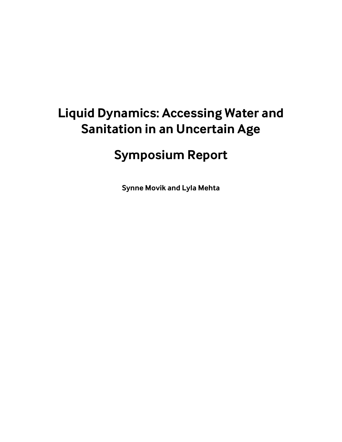# **Liquid Dynamics: Accessing Water and Sanitation in an Uncertain Age**

# **Symposium Report**

**Synne Movik and Lyla Mehta**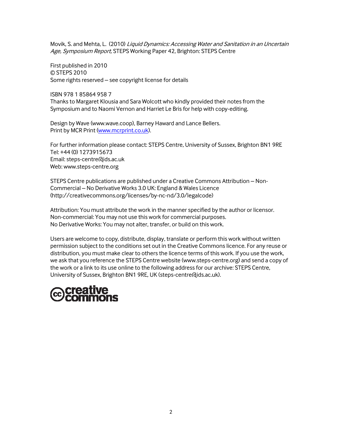Movik, S. and Mehta, L. (2010) Liquid Dynamics: Accessing Water and Sanitation in an Uncertain Age, Symposium Report, STEPS Working Paper 42, Brighton: STEPS Centre

First published in 2010 © STEPS 2010 Some rights reserved – see copyright license for details

ISBN 978 1 85864 958 7 Thanks to Margaret Klousia and Sara Wolcott who kindly provided their notes from the Symposium and to Naomi Vernon and Harriet Le Bris for help with copy-editing.

Design by Wave [\(www.wave.coop\)](http://www.wave.coop/), Barney Haward and Lance Bellers. Print by MCR Print [\(www.mcrprint.co.uk\)](http://www.mcrprint.co.uk/).

For further information please contact: STEPS Centre, University of Sussex, Brighton BN1 9RE Tel: +44 (0) 1273915673 Email: [steps-centre@ids.ac.uk](mailto:steps-centre@ids.ac.uk) Web: [www.steps-centre.org](http://www.steps-centre.org/)

STEPS Centre publications are published under a Creative Commons Attribution – Non-Commercial – No Derivative Works 3.0 UK: England & Wales Licence [\(http://creativecommons.org/licenses/by-nc-nd/3.0/legalcode\)](http://creativecommons.org/licenses/by-nc-nd/3.0/legalcode)

Attribution: You must attribute the work in the manner specified by the author or licensor. Non-commercial: You may not use this work for commercial purposes. No Derivative Works: You may not alter, transfer, or build on this work.

Users are welcome to copy, distribute, display, translate or perform this work without written permission subject to the conditions set out in the Creative Commons licence. For any reuse or distribution, you must make clear to others the licence terms of this work. If you use the work, we ask that you reference the STEPS Centre website [\(www.steps-centre.org\)](http://www.steps-centre.org/) and send a copy of the work or a link to its use online to the following address for our archive: STEPS Centre, University of Sussex, Brighton BN1 9RE, UK [\(steps-centre@ids.ac.uk\)](mailto:steps-centre@ids.ac.uk).

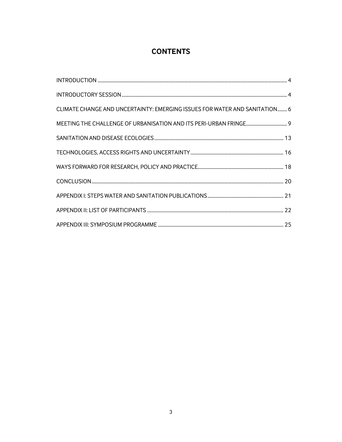# **CONTENTS**

| CLIMATE CHANGE AND UNCERTAINTY: EMERGING ISSUES FOR WATER AND SANITATION 6 |  |
|----------------------------------------------------------------------------|--|
|                                                                            |  |
|                                                                            |  |
|                                                                            |  |
|                                                                            |  |
|                                                                            |  |
|                                                                            |  |
|                                                                            |  |
|                                                                            |  |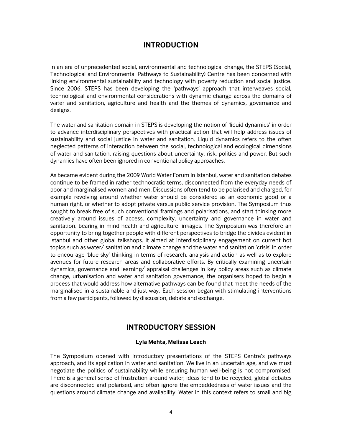### **INTRODUCTION**

<span id="page-5-0"></span>In an era of unprecedented social, environmental and technological change, the STEPS (Social, Technological and Environmental Pathways to Sustainability) Centre has been concerned with linking environmental sustainability and technology with poverty reduction and social justice. Since 2006, STEPS has been developing the 'pathways' approach that interweaves social, technological and environmental considerations with dynamic change across the domains of water and sanitation, agriculture and health and the themes of dynamics, governance and designs.

The water and sanitation domain in STEPS is developing the notion of 'liquid dynamics' in order to advance interdisciplinary perspectives with practical action that will help address issues of sustainability and social justice in water and sanitation. Liquid dynamics refers to the often neglected patterns of interaction between the social, technological and ecological dimensions of water and sanitation, raising questions about uncertainty, risk, politics and power. But such dynamics have often been ignored in conventional policy approaches.

As became evident during the 2009 World Water Forum in Istanbul, water and sanitation debates continue to be framed in rather technocratic terms, disconnected from the everyday needs of poor and marginalised women and men. Discussions often tend to be polarised and charged, for example revolving around whether water should be considered as an economic good or a human right, or whether to adopt private versus public service provision. The Symposium thus sought to break free of such conventional framings and polarisations, and start thinking more creatively around issues of access, complexity, uncertainty and governance in water and sanitation, bearing in mind health and agriculture linkages. The Symposium was therefore an opportunity to bring together people with different perspectives to bridge the divides evident in Istanbul and other global talkshops. It aimed at interdisciplinary engagement on current hot topics such as water/ sanitation and climate change and the water and sanitation 'crisis' in order to encourage 'blue sky' thinking in terms of research, analysis and action as well as to explore avenues for future research areas and collaborative efforts. By critically examining uncertain dynamics, governance and learning/ appraisal challenges in key policy areas such as climate change, urbanisation and water and sanitation governance, the organisers hoped to begin a process that would address how alternative pathways can be found that meet the needs of the marginalised in a sustainable and just way. Each session began with stimulating interventions from a few participants, followed by discussion, debate and exchange.

## **INTRODUCTORY SESSION**

#### **Lyla Mehta, Melissa Leach**

<span id="page-5-1"></span>The Symposium opened with introductory presentations of the STEPS Centre's pathways approach, and its application in water and sanitation. We live in an uncertain age, and we must negotiate the politics of sustainability while ensuring human well-being is not compromised. There is a general sense of frustration around water; ideas tend to be recycled, global debates are disconnected and polarised, and often ignore the embeddedness of water issues and the questions around climate change and availability. Water in this context refers to small and big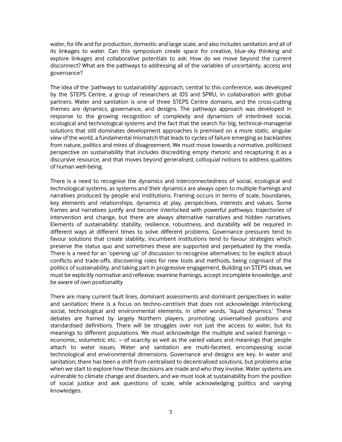water, for life and for production, domestic and large scale, and also includes sanitation and all of its linkages to water. Can this symposium create space for creative, blue-sky thinking and explore linkages and collaborative potentials to ask: How do we move beyond the current disconnect? What are the pathways to addressing all of the variables of uncertainty, access and governance?

The idea of the 'pathways to sustainability' approach, central to this conference, was developed by the STEPS Centre, a group of researchers at IDS and SPRU, in collaboration with global partners. Water and sanitation is one of three STEPS Centre domains, and the cross-cutting themes are dynamics, governance, and designs. The pathways approach was developed in response to the growing recognition of complexity and dynamism of interlinked social, ecological and technological systems and the fact that the search for big, technical-managerial solutions that still dominates development approaches is premised on a more static, singular view of the world, a fundamental mismatch that leads to cycles of failure emerging as backlashes from nature, politics and mires of disagreement. We must move towards a normative, politicised perspective on sustainability that includes discrediting empty rhetoric and recapturing it as a discursive resource, and that moves beyond generalised, colloquial notions to address qualities of human well-being.

There is a need to recognise the dynamics and interconnectedness of social, ecological and technological systems, as systems and their dynamics are always open to multiple framings and narratives produced by people and institutions. Framing occurs in terms of scale, boundaries, key elements and relationships, dynamics at play, perspectives, interests and values. Some frames and narratives justify and become interlocked with powerful pathways; trajectories of intervention and change, but there are always alternative narratives and hidden narratives. Elements of sustainability: stability, resilience, robustness, and durability will be required in different ways at different times to solve different problems. Governance pressures tend to favour solutions that create stability, incumbent institutions tend to favour strategies which preserve the status quo and sometimes these are supported and perpetuated by the media. There is a need for an 'opening up' of discussion to recognise alternatives; to be explicit about conflicts and trade-offs, discovering roles for new tools and methods, being cognisant of the politics of sustainability, and taking part in progressive engagement. Building on STEPS ideas, we must be explicitly normative and reflexive; examine framings, accept incomplete knowledge, and be aware of own positionality

There are many current fault lines, dominant assessments and dominant perspectives in water and sanitation; there is a focus on techno-centrism that does not acknowledge interlocking social, technological and environmental elements, in other words, 'liquid dynamics.' These debates are framed by largely Northern players, promoting universalised positions and standardised definitions. There will be struggles over not just the access to water, but its meanings to different populations. We must acknowledge the multiple and varied framings – economic, volumetric etc. – of scarcity as well as the varied values and meanings that people attach to water issues. Water and sanitation are multi-faceted, encompassing social technological and environmental dimensions. Governance and designs are key. In water and sanitation; there has been a shift from centralised to decentralised solutions, but problems arise when we start to explore how these decisions are made and who they involve. Water systems are vulnerable to climate change and disasters, and we must look at sustainability from the position of social justice and ask questions of scale, while acknowledging politics and varying knowledges.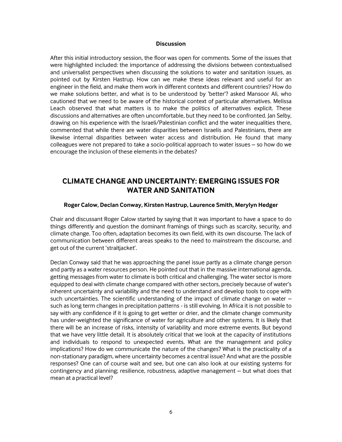#### **Discussion**

After this initial introductory session, the floor was open for comments. Some of the issues that were highlighted included: the importance of addressing the divisions between contextualised and universalist perspectives when discussing the solutions to water and sanitation issues, as pointed out by Kirsten Hastrup. How can we make these ideas relevant and useful for an engineer in the field, and make them work in different contexts and different countries? How do we make solutions better, and what is to be understood by 'better'? asked Mansoor Ali, who cautioned that we need to be aware of the historical context of particular alternatives. Melissa Leach observed that what matters is to make the politics of alternatives explicit. These discussions and alternatives are often uncomfortable, but they need to be confronted. Jan Selby, drawing on his experience with the Israeli/Palestinian conflict and the water inequalities there, commented that while there are water disparities between Israelis and Palestinians, there are likewise internal disparities between water access and distribution. He found that many colleagues were not prepared to take a socio-political approach to water issues – so how do we encourage the inclusion of these elements in the debates?

# <span id="page-7-0"></span>**CLIMATE CHANGE AND UNCERTAINTY: EMERGING ISSUES FOR WATER AND SANITATION**

#### **Roger Calow, Declan Conway, Kirsten Hastrup, Laurence Smith, Merylyn Hedger**

Chair and discussant Roger Calow started by saying that it was important to have a space to do things differently and question the dominant framings of things such as scarcity, security, and climate change. Too often, adaptation becomes its own field, with its own discourse. The lack of communication between different areas speaks to the need to mainstream the discourse, and get out of the current 'straitjacket'.

Declan Conway said that he was approaching the panel issue partly as a climate change person and partly as a water resources person. He pointed out that in the massive international agenda, getting messages from water to climate is both critical and challenging. The water sector is more equipped to deal with climate change compared with other sectors, precisely because of water's inherent uncertainty and variability and the need to understand and develop tools to cope with such uncertainties. The scientific understanding of the impact of climate change on water  $$ such as long term changes in precipitation patterns - is still evolving. In Africa it is not possible to say with any confidence if it is going to get wetter or drier, and the climate change community has under-weighted the significance of water for agriculture and other systems. It is likely that there will be an increase of risks, intensity of variability and more extreme events. But beyond that we have very little detail. It is absolutely critical that we look at the capacity of institutions and individuals to respond to unexpected events. What are the management and policy implications? How do we communicate the nature of the changes? What is the practicality of a non-stationary paradigm, where uncertainty becomes a central issue? And what are the possible responses? One can of course wait and see, but one can also look at our existing systems for contingency and planning; resilience, robustness, adaptive management – but what does that mean at a practical level?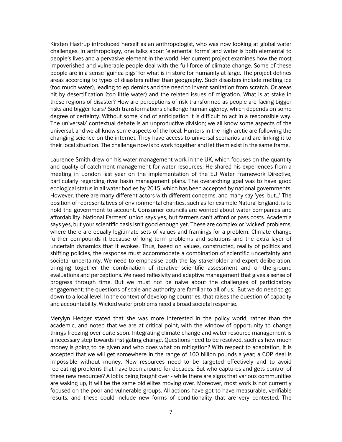Kirsten Hastrup introduced herself as an anthropologist, who was now looking at global water challenges. In anthropology, one talks about 'elemental forms' and water is both elemental to people's lives and a pervasive element in the world. Her current project examines how the most impoverished and vulnerable people deal with the full force of climate change. Some of these people are in a sense 'guinea pigs' for what is in store for humanity at large. The project defines areas according to types of disasters rather than geography. Such disasters include melting ice (too much water), leading to epidemics and the need to invent sanitation from scratch. Or areas hit by desertification (too little water) and the related issues of migration. What is at stake in these regions of disaster? How are perceptions of risk transformed as people are facing bigger risks and bigger fears? Such transformations challenge human agency, which depends on some degree of certainty. Without some kind of anticipation it is difficult to act in a responsible way. The universal/ contextual debate is an unproductive division; we all know some aspects of the universal, and we all know some aspects of the local. Hunters in the high arctic are following the changing science on the internet. They have access to universal scenarios and are linking it to their local situation. The challenge now is to work together and let them exist in the same frame.

Laurence Smith drew on his water management work in the UK, which focuses on the quantity and quality of catchment management for water resources. He shared his experiences from a meeting in London last year on the implementation of the EU Water Framework Directive, particularly regarding river basin management plans. The overarching goal was to have good ecological status in all water bodies by 2015, which has been accepted by national governments. However, there are many different actors with different concerns, and many say 'yes, but…' The position of representatives of environmental charities, such as for example Natural England, is to hold the government to account. Consumer councils are worried about water companies and affordability. National Farmers' union says yes, but farmers can't afford or pass costs. Academia says yes, but your scientific basis isn't good enough yet. These are complex or 'wicked' problems, where there are equally legitimate sets of values and framings for a problem. Climate change further compounds it because of long term problems and solutions and the extra layer of uncertain dynamics that it evokes. Thus, based on values, constructed, reality of politics and shifting policies, the response must accommodate a combination of scientific uncertainty and societal uncertainty. We need to emphasise both the lay stakeholder and expert deliberation, bringing together the combination of iterative scientific assessment and on-the-ground evaluations and perceptions. We need reflexivity and adaptive management that gives a sense of progress through time. But we must not be naive about the challenges of participatory engagement; the questions of scale and authority are familiar to all of us. But we do need to go down to a local level. In the context of developing countries, that raises the question of capacity and accountability. Wicked water problems need a broad societal response.

Merylyn Hedger stated that she was more interested in the policy world, rather than the academic, and noted that we are at critical point, with the window of opportunity to change things freezing over quite soon. Integrating climate change and water resource management is a necessary step towards instigating change. Questions need to be resolved, such as how much money is going to be given and who does what on mitigation? With respect to adaptation, it is accepted that we will get somewhere in the range of 100 billion pounds a year; a COP deal is impossible without money. New resources need to be targeted effectively and to avoid recreating problems that have been around for decades. But who captures and gets control of these new resources? A lot is being fought over - while there are signs that various communities are waking up, it will be the same old elites moving over. Moreover, most work is not currently focused on the poor and vulnerable groups. All actions have got to have measurable, verifiable results, and these could include new forms of conditionality that are very contested. The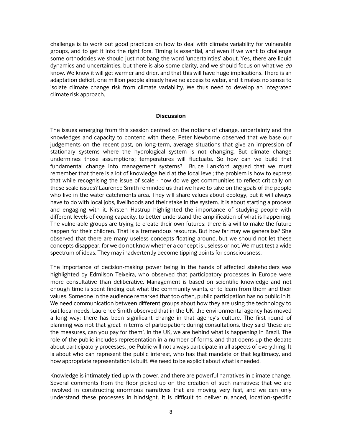challenge is to work out good practices on how to deal with climate variability for vulnerable groups, and to get it into the right fora. Timing is essential, and even if we want to challenge some orthodoxies we should just not bang the word 'uncertainties' about. Yes, there are liquid dynamics and uncertainties, but there is also some clarity, and we should focus on what we  $do$ know. We know it will get warmer and drier, and that this will have huge implications. There is an adaptation deficit, one million people already have no access to water, and it makes no sense to isolate climate change risk from climate variability. We thus need to develop an integrated climate risk approach.

#### **Discussion**

The issues emerging from this session centred on the notions of change, uncertainty and the knowledges and capacity to contend with these. Peter Newborne observed that we base our judgements on the recent past, on long-term, average situations that give an impression of stationary systems where the hydrological system is not changing. But climate change undermines those assumptions; temperatures will fluctuate. So how can we build that fundamental change into management systems? Bruce Lankford argued that we must remember that there is a lot of knowledge held at the local level; the problem is how to express that while recognising the issue of scale - how do we get communities to reflect critically on these scale issues? Laurence Smith reminded us that we have to take on the goals of the people who live in the water catchments area. They will share values about ecology, but it will always have to do with local jobs, livelihoods and their stake in the system. It is about starting a process and engaging with it. Kirsten Hastrup highlighted the importance of studying people with different levels of coping capacity, to better understand the amplification of what is happening. The vulnerable groups are trying to create their own futures; there is a will to make the future happen for their children. That is a tremendous resource. But how far may we generalise? She observed that there are many useless concepts floating around, but we should not let these concepts disappear, for we do not know whether a concept is useless or not. We must test a wide spectrum of ideas. They may inadvertently become tipping points for consciousness.

The importance of decision-making power being in the hands of affected stakeholders was highlighted by Edmilson Teixeira, who observed that participatory processes in Europe were more consultative than deliberative. Management is based on scientific knowledge and not enough time is spent finding out what the community wants, or to learn from them and their values. Someone in the audience remarked that too often, public participation has no public in it. We need communication between different groups about how they are using the technology to suit local needs. Laurence Smith observed that in the UK, the environmental agency has moved a long way; there has been significant change in that agency's culture. The first round of planning was not that great in terms of participation; during consultations, they said 'these are the measures, can you pay for them'. In the UK, we are behind what is happening in Brazil. The role of the public includes representation in a number of forms, and that opens up the debate about participatory processes. Joe Public will not always participate in all aspects of everything. It is about who can represent the public interest, who has that mandate or that legitimacy, and how appropriate representation is built. We need to be explicit about what is needed.

Knowledge is intimately tied up with power, and there are powerful narratives in climate change. Several comments from the floor picked up on the creation of such narratives; that we are involved in constructing enormous narratives that are moving very fast, and we can only understand these processes in hindsight. It is difficult to deliver nuanced, location-specific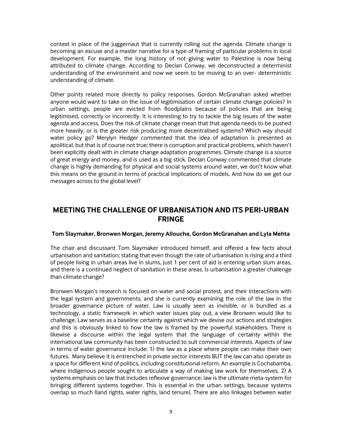context in place of the juggernaut that is currently rolling out the agenda. Climate change is becoming an excuse and a master narrative for a type of framing of particular problems in local development. For example, the long history of not giving water to Palestine is now being attributed to climate change. According to Declan Conway, we deconstructed a determinist understanding of the environment and now we seem to be moving to an over- deterministic understanding of climate.

Other points related more directly to policy responses. Gordon McGranahan asked whether anyone would want to take on the issue of legitimisation of certain climate change policies? In urban settings, people are evicted from floodplains because of policies that are being legitimised, correctly or incorrectly. It is interesting to try to tackle the big issues of the water agenda and access. Does the risk of climate change mean that that agenda needs to be pushed more heavily, or is the greater risk producing more decentralised systems? Which way should water policy go? Merylyn Hedger commented that the idea of adaptation is presented as apolitical, but that is of course not true; there is corruption and practical problems, which haven't been explicitly dealt with in climate change adaptation programmes. Climate change is a source of great energy and money, and is used as a big stick. Declan Conway commented that climate change is highly demanding for physical and social systems around water, we don't know what this means on the ground in terms of practical implications of models. And how do we get our messages across to the global level?

# <span id="page-10-0"></span>**MEETING THE CHALLENGE OF URBANISATION AND ITS PERI-URBAN FRINGE**

#### **Tom Slaymaker, Bronwen Morgan, Jeremy Allouche, Gordon McGranahan and Lyla Mehta**

The chair and discussant Tom Slaymaker introduced himself, and offered a few facts about urbanisation and sanitation; stating that even though the rate of urbanisation is rising and a third of people living in urban areas live in slums, just 1 per cent of aid is entering urban slum areas, and there is a continued neglect of sanitation in these areas. Is urbanisation a greater challenge than climate change?

Bronwen Morgan's research is focused on water and social protest, and their interactions with the legal system and governments, and she is currently examining the role of the law in the broader governance picture of water. Law is usually seen as invisible, or is bundled as a technology, a static framework in which water issues play out, a view Bronwen would like to challenge. Law serves as a baseline certainty against which we devise our actions and strategies and this is obviously linked to how the law is framed by the powerful stakeholders. There is likewise a discourse within the legal system that the language of certainty within the international law community has been constructed to suit commercial interests. Aspects of law in terms of water governance include: 1) the law as a place where people can make their own futures. Many believe it is entrenched in private sector interests BUT the law can also operate as a space for different kind of politics, including constitutional reform. An example is Cochabamba, where indigenous people sought to articulate a way of making law work for themselves. 2) A systems emphasis on law that includes reflexive governance; law is the ultimate meta-system for bringing different systems together. This is essential in the urban settings, because systems overlap so much (land rights, water rights, land tenure). There are also linkages between water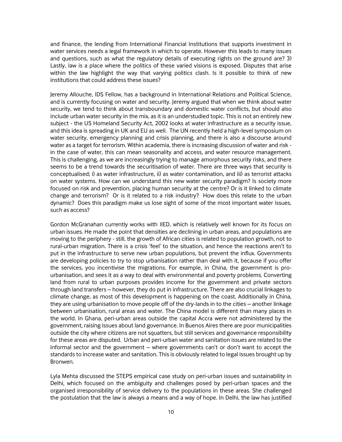and finance, the lending from International Financial Institutions that supports investment in water services needs a legal framework in which to operate. However this leads to many issues and questions, such as what the regulatory details of executing rights on the ground are? 3) Lastly, law is a place where the politics of these varied visions is exposed. Disputes that arise within the law highlight the way that varying politics clash. Is it possible to think of new institutions that could address these issues?

Jeremy Allouche, IDS Fellow, has a background in International Relations and Political Science, and is currently focusing on water and security. Jeremy argued that when we think about water security, we tend to think about transboundary and domestic water conflicts, but should also include urban water security in the mix, as it is an understudied topic. This is not an entirely new subject - the US Homeland Security Act, 2002 looks at water infrastructure as a security issue, and this idea is spreading in UK and EU as well. The UN recently held a high-level symposium on water security, emergency planning and crisis planning, and there is also a discourse around water as a target for terrorism. Within academia, there is increasing discussion of water and risk in the case of water, this can mean seasonality and access, and water resource management. This is challenging, as we are increasingly trying to manage amorphous security risks, and there seems to be a trend towards the securitisation of water. There are three ways that security is conceptualised; i) as water infrastructure, ii) as water contamination, and iii) as terrorist attacks on water systems. How can we understand this new water security paradigm? Is society more focused on risk and prevention, placing human security at the centre? Or is it linked to climate change and terrorism? Or is it related to a risk industry? How does this relate to the urban dynamic? Does this paradigm make us lose sight of some of the most important water issues, such as access?

Gordon McGranahan currently works with IIED, which is relatively well known for its focus on urban issues. He made the point that densities are declining in urban areas, and populations are moving to the periphery - still, the growth of African cities is related to population growth, not to rural-urban migration. There is a crisis 'feel' to the situation, and hence the reactions aren't to put in the infrastructure to serve new urban populations, but prevent the influx. Governments are developing policies to try to stop urbanisation rather than deal with it, because if you offer the services, you incentivise the migrations. For example, in China, the government is prourbanisation, and sees it as a way to deal with environmental and poverty problems. Converting land from rural to urban purposes provides income for the government and private sectors through land transfers – however, they do put in infrastructure. There are also crucial linkages to climate change, as most of this development is happening on the coast. Additionally in China, they are using urbanisation to move people off of the dry-lands in to the cities – another linkage between urbanisation, rural areas and water. The China model is different than many places in the world. In Ghana, peri-urban areas outside the capital Accra were not administered by the government, raising issues about land governance. In Buenos Aires there are poor municipalities outside the city where citizens are not squatters, but still services and governance responsibility for these areas are disputed. Urban and peri-urban water and sanitation issues are related to the informal sector and the government – where governments can't or don't want to accept the standards to increase water and sanitation. This is obviously related to legal issues brought up by Bronwen.

Lyla Mehta discussed the STEPS empirical case study on peri-urban issues and sustainability in Delhi, which focused on the ambiguity and challenges posed by peri-urban spaces and the organised irresponsibility of service delivery to the populations in these areas. She challenged the postulation that the law is always a means and a way of hope. In Delhi, the law has justified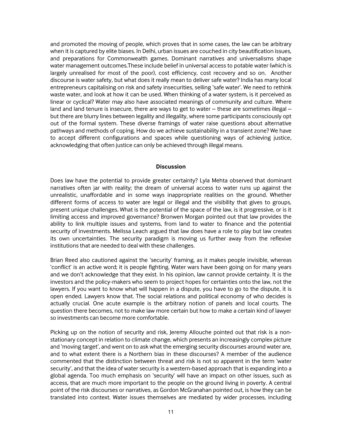and promoted the moving of people, which proves that in some cases, the law can be arbitrary when it is captured by elite biases. In Delhi, urban issues are couched in city beautification issues, and preparations for Commonwealth games. Dominant narratives and universalisms shape water management outcomes.These include belief in universal access to potable water (which is largely unrealised for most of the poor), cost efficiency, cost recovery and so on. Another discourse is water safety, but what does it really mean to deliver safe water? India has many local entrepreneurs capitalising on risk and safety insecurities, selling 'safe water'. We need to rethink waste water, and look at how it can be used. When thinking of a water system, is it perceived as linear or cyclical? Water may also have associated meanings of community and culture. Where land and land tenure is insecure, there are ways to get to water – these are sometimes illegal – but there are blurry lines between legality and illegality, where some participants consciously opt out of the formal system. These diverse framings of water raise questions about alternative pathways and methods of coping. How do we achieve sustainability in a transient zone? We have to accept different configurations and spaces while questioning ways of achieving justice, acknowledging that often justice can only be achieved through illegal means.

#### **Discussion**

Does law have the potential to provide greater certainty? Lyla Mehta observed that dominant narratives often jar with reality; the dream of universal access to water runs up against the unrealistic, unaffordable and in some ways inappropriate realities on the ground. Whether different forms of access to water are legal or illegal and the visibility that gives to groups, present unique challenges. What is the potential of the space of the law, is it progressive, or is it limiting access and improved governance? Bronwen Morgan pointed out that law provides the ability to link multiple issues and systems, from land to water to finance and the potential security of investments. Melissa Leach argued that law does have a role to play but law creates its own uncertainties. The security paradigm is moving us further away from the reflexive institutions that are needed to deal with these challenges.

Brian Reed also cautioned against the 'security' framing, as it makes people invisible, whereas 'conflict' is an active word; it is people fighting. Water wars have been going on for many years and we don't acknowledge that they exist. In his opinion, law cannot provide certainty. It is the investors and the policy-makers who seem to project hopes for certainties onto the law, not the lawyers. If you want to know what will happen in a dispute, you have to go to the dispute, it is open ended. Lawyers know that. The social relations and political economy of who decides is actually crucial. One acute example is the arbitrary notion of panels and local courts. The question there becomes, not to make law more certain but how to make a certain kind of lawyer so investments can become more comfortable.

Picking up on the notion of security and risk, Jeremy Allouche pointed out that risk is a nonstationary concept in relation to climate change, which presents an increasingly complex picture and 'moving target', and went on to ask what the emerging security discourses around water are, and to what extent there is a Northern bias in these discourses? A member of the audience commented that the distinction between threat and risk is not so apparent in the term 'water security', and that the idea of water security is a western-based approach that is expanding into a global agenda. Too much emphasis on 'security' will have an impact on other issues, such as access, that are much more important to the people on the ground living in poverty. A central point of the risk discourses or narratives, as Gordon McGranahan pointed out, is how they can be translated into context. Water issues themselves are mediated by wider processes, including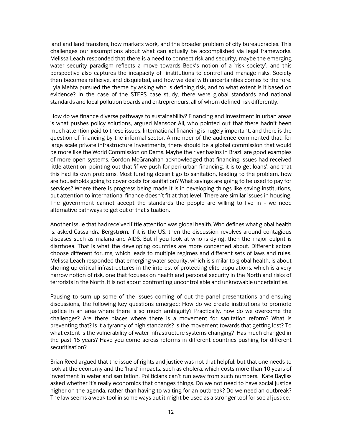land and land transfers, how markets work, and the broader problem of city bureaucracies. This challenges our assumptions about what can actually be accomplished via legal frameworks. Melissa Leach responded that there is a need to connect risk and security, maybe the emerging water security paradigm reflects a move towards Beck's notion of a 'risk society', and this perspective also captures the incapacity of institutions to control and manage risks. Society then becomes reflexive, and disquieted, and how we deal with uncertainties comes to the fore. Lyla Mehta pursued the theme by asking who is defining risk, and to what extent is it based on evidence? In the case of the STEPS case study, there were global standards and national standards and local pollution boards and entrepreneurs, all of whom defined risk differently.

How do we finance diverse pathways to sustainability? Financing and investment in urban areas is what pushes policy solutions, argued Mansoor Ali, who pointed out that there hadn't been much attention paid to these issues. International financing is hugely important, and there is the question of financing by the informal sector. A member of the audience commented that, for large scale private infrastructure investments, there should be a global commission that would be more like the World Commission on Dams. Maybe the river basins in Brazil are good examples of more open systems. Gordon McGranahan acknowledged that financing issues had received little attention, pointing out that 'if we push for peri-urban financing, it is to get loans', and that this had its own problems. Most funding doesn't go to sanitation, leading to the problem, how are households going to cover costs for sanitation? What savings are going to be used to pay for services? Where there is progress being made it is in developing things like saving institutions, but attention to international finance doesn't fit at that level. There are similar issues in housing. The government cannot accept the standards the people are willing to live in - we need alternative pathways to get out of that situation.

Another issue that had received little attention was global health. Who defines what global health is, asked Cassandra Bergstrøm. If it is the US, then the discussion revolves around contagious diseases such as malaria and AIDS. But if you look at who is dying, then the major culprit is diarrhoea. That is what the developing countries are more concerned about. Different actors choose different forums, which leads to multiple regimes and different sets of laws and rules. Melissa Leach responded that emerging water security, which is similar to global health, is about shoring up critical infrastructures in the interest of protecting elite populations, which is a very narrow notion of risk, one that focuses on health and personal security in the North and risks of terrorists in the North. It is not about confronting uncontrollable and unknowable uncertainties.

Pausing to sum up some of the issues coming of out the panel presentations and ensuing discussions, the following key questions emerged: How do we create institutions to promote justice in an area where there is so much ambiguity? Practically, how do we overcome the challenges? Are there places where there is a movement for sanitation reform? What is preventing that? Is it a tyranny of high standards? Is the movement towards that getting lost? To what extent is the vulnerability of water infrastructure systems changing? Has much changed in the past 15 years? Have you come across reforms in different countries pushing for different securitisation?

Brian Reed argued that the issue of rights and justice was not that helpful; but that one needs to look at the economy and the 'hard' impacts, such as cholera, which costs more than 10 years of investment in water and sanitation. Politicians can't run away from such numbers. Kate Bayliss asked whether it's really economics that changes things. Do we not need to have social justice higher on the agenda, rather than having to waiting for an outbreak? Do we need an outbreak? The law seems a weak tool in some ways but it might be used as a stronger tool for social justice.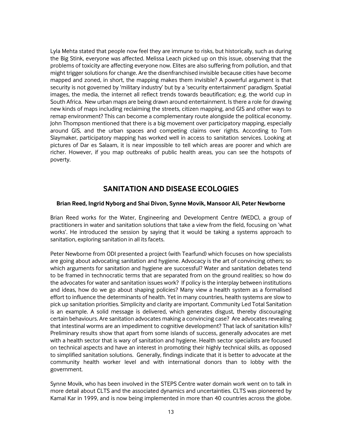Lyla Mehta stated that people now feel they are immune to risks, but historically, such as during the Big Stink, everyone was affected. Melissa Leach picked up on this issue, observing that the problems of toxicity are affecting everyone now. Elites are also suffering from pollution, and that might trigger solutions for change. Are the disenfranchised invisible because cities have become mapped and zoned, in short, the mapping makes them invisible? A powerful argument is that security is not governed by 'military industry' but by a 'security entertainment' paradigm. Spatial images, the media, the internet all reflect trends towards beautification; e.g. the world cup in South Africa. New urban maps are being drawn around entertainment. Is there a role for drawing new kinds of maps including reclaiming the streets, citizen mapping, and GIS and other ways to remap environment? This can become a complementary route alongside the political economy. John Thompson mentioned that there is a big movement over participatory mapping, especially around GIS, and the urban spaces and competing claims over rights. According to Tom Slaymaker, participatory mapping has worked well in access to sanitation services. Looking at pictures of Dar es Salaam, it is near impossible to tell which areas are poorer and which are richer. However, if you map outbreaks of public health areas, you can see the hotspots of poverty.

# **SANITATION AND DISEASE ECOLOGIES**

#### <span id="page-14-0"></span>**Brian Reed, Ingrid Nyborg and Shai Divon, Synne Movik, Mansoor Ali, Peter Newborne**

Brian Reed works for the Water, Engineering and Development Centre (WEDC), a group of practitioners in water and sanitation solutions that take a view from the field, focusing on 'what works'. He introduced the session by saying that it would be taking a systems approach to sanitation, exploring sanitation in all its facets.

Peter Newborne from ODI presented a project (with Tearfund) which focuses on how specialists are going about advocating sanitation and hygiene. Advocacy is the art of convincing others; so which arguments for sanitation and hygiene are successful? Water and sanitation debates tend to be framed in technocratic terms that are separated from on the ground realities; so how do the advocates for water and sanitation issues work? If policy is the interplay between institutions and ideas, how do we go about shaping policies? Many view a health system as a formalised effort to influence the determinants of health. Yet in many countries, health systems are slow to pick up sanitation priorities. Simplicity and clarity are important. Community Led Total Sanitation is an example. A solid message is delivered, which generates disgust, thereby discouraging certain behaviours. Are sanitation advocates making a convincing case? Are advocates revealing that intestinal worms are an impediment to cognitive development? That lack of sanitation kills? Preliminary results show that apart from some islands of success, generally advocates are met with a health sector that is wary of sanitation and hygiene. Health sector specialists are focused on technical aspects and have an interest in promoting their highly technical skills, as opposed to simplified sanitation solutions. Generally, findings indicate that it is better to advocate at the community health worker level and with international donors than to lobby with the government.

Synne Movik, who has been involved in the STEPS Centre water domain work went on to talk in more detail about CLTS and the associated dynamics and uncertainties. CLTS was pioneered by Kamal Kar in 1999, and is now being implemented in more than 40 countries across the globe.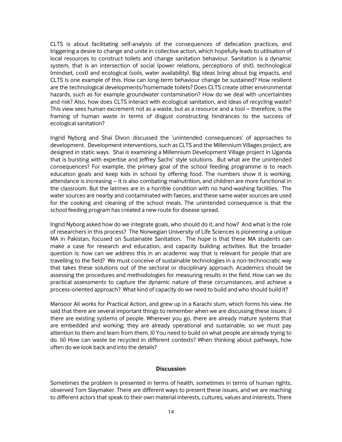CLTS is about facilitating self-analysis of the consequences of defecation practices, and triggering a desire to change and unite in collective action, which hopefully leads to utilisation of local resources to construct toilets and change sanitation behaviour. Sanitation is a dynamic system, that is an intersection of social (power relations, perceptions of shit), technological (mindset, cost) and ecological (soils, water availability). Big ideas bring about big impacts, and CLTS is one example of this. How can long-term behaviour change be sustained? How resilient are the technological developments/homemade toilets? Does CLTS create other environmental hazards, such as for example groundwater contamination? How do we deal with uncertainties and risk? Also, how does CLTS interact with ecological sanitation, and ideas of recycling waste? This view sees human excrement not as a waste, but as a resource and a tool – therefore, is the framing of human waste in terms of disgust constructing hindrances to the success of ecological sanitation?

Ingrid Nyborg and Shai Divon discussed the 'unintended consequences' of approaches to development. Development interventions, such as CLTS and the Millennium Villages project, are designed in static ways. Shai is examining a Millennium Development Village project in Uganda that is bursting with expertise and Jeffrey Sachs' style solutions. But what are the unintended consequences? For example, the primary goal of the school feeding programme is to reach education goals and keep kids in school by offering food. The numbers show it is working, attendance is increasing – it is also combating malnutrition, and children are more functional in the classroom. But the latrines are in a horrible condition with no hand-washing facilities. The water sources are nearby and contaminated with faeces, and these same water sources are used for the cooking and cleaning of the school meals. The unintended consequence is that the school feeding program has created a new route for disease spread.

Ingrid Nyborg asked how do we integrate goals, who should do it, and how? And what is the role of researchers in this process? The Norwegian University of Life Sciences is pioneering a unique MA in Pakistan, focused on Sustainable Sanitation. The hope is that these MA students can make a case for research and education, and capacity building activities. But the broader question is: how can we address this in an academic way that is relevant for people that are travelling to the field? We must conceive of sustainable technologies in a non-technocratic way that takes these solutions out of the sectoral or disciplinary approach. Academics should be assessing the procedures and methodologies for measuring results in the field. How can we do practical assessments to capture the dynamic nature of these circumstances, and achieve a process-oriented approach? What kind of capacity do we need to build and who should build it?

Mansoor Ali works for Practical Action, and grew up in a Karachi slum, which forms his view. He said that there are several important things to remember when we are discussing these issues: i) there are existing systems of people. Wherever you go, there are already mature systems that are embedded and working; they are already operational and sustainable, so we must pay attention to them and learn from them. Ii) You need to build on what people are already trying to do. Iii) How can waste be recycled in different contexts? When thinking about pathways, how often do we look back and into the details?

#### **Discussion**

Sometimes the problem is presented in terms of health, sometimes in terms of human rights, observed Tom Slaymaker. There are different ways to present these issues, and we are reaching to different actors that speak to their own material interests, cultures, values and interests. There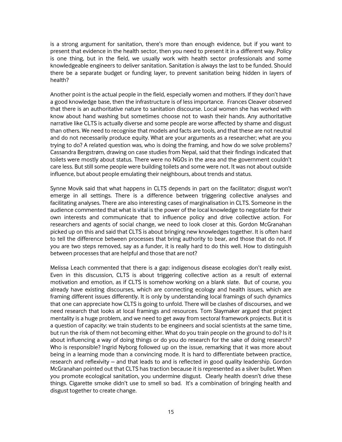is a strong argument for sanitation, there's more than enough evidence, but if you want to present that evidence in the health sector, then you need to present it in a different way. Policy is one thing, but in the field, we usually work with health sector professionals and some knowledgeable engineers to deliver sanitation. Sanitation is always the last to be funded. Should there be a separate budget or funding layer, to prevent sanitation being hidden in layers of health?

Another point is the actual people in the field, especially women and mothers. If they don't have a good knowledge base, then the infrastructure is of less importance. Frances Cleaver observed that there is an authoritative nature to sanitation discourse. Local women she has worked with know about hand washing but sometimes choose not to wash their hands. Any authoritative narrative like CLTS is actually diverse and some people are worse affected by shame and disgust than others. We need to recognise that models and facts are tools, and that these are not neutral and do not necessarily produce equity. What are your arguments as a researcher; what are you trying to do? A related question was, who is doing the framing, and how do we solve problems? Cassandra Bergstrøm, drawing on case studies from Nepal, said that their findings indicated that toilets were mostly about status. There were no NGOs in the area and the government couldn't care less. But still some people were building toilets and some were not. It was not about outside influence, but about people emulating their neighbours, about trends and status.

Synne Movik said that what happens in CLTS depends in part on the facilitator; disgust won't emerge in all settings. There is a difference between triggering collective analyses and facilitating analyses. There are also interesting cases of marginalisation in CLTS. Someone in the audience commented that what is vital is the power of the local knowledge to negotiate for their own interests and communicate that to influence policy and drive collective action. For researchers and agents of social change, we need to look closer at this. Gordon McGranahan picked up on this and said that CLTS is about bringing new knowledges together. It is often hard to tell the difference between processes that bring authority to bear, and those that do not. If you are two steps removed, say as a funder, it is really hard to do this well. How to distinguish between processes that are helpful and those that are not?

Melissa Leach commented that there is a gap: indigenous disease ecologies don't really exist. Even in this discussion, CLTS is about triggering collective action as a result of external motivation and emotion, as if CLTS is somehow working on a blank slate. But of course, you already have existing discourses, which are connecting ecology and health issues, which are framing different issues differently. It is only by understanding local framings of such dynamics that one can appreciate how CLTS is going to unfold. There will be clashes of discourses, and we need research that looks at local framings and resources. Tom Slaymaker argued that project mentality is a huge problem, and we need to get away from sectoral framework projects. But it is a question of capacity: we train students to be engineers and social scientists at the same time, but run the risk of them not becoming either. What do you train people on the ground to do? Is it about influencing a way of doing things or do you do research for the sake of doing research? Who is responsible? Ingrid Nyborg followed up on the issue, remarking that it was more about being in a learning mode than a convincing mode. It is hard to differentiate between practice, research and reflexivity – and that leads to and is reflected in good quality leadership. Gordon McGranahan pointed out that CLTS has traction because it is represented as a silver bullet. When you promote ecological sanitation, you undermine disgust. Clearly health doesn't drive these things. Cigarette smoke didn't use to smell so bad. It's a combination of bringing health and disgust together to create change.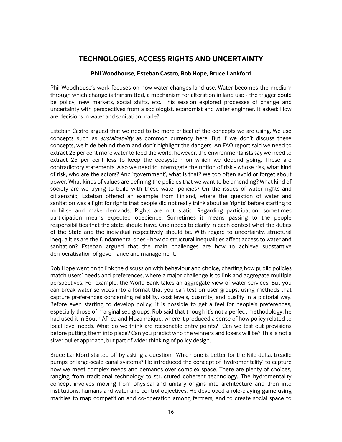# <span id="page-17-0"></span>**TECHNOLOGIES, ACCESS RIGHTS AND UNCERTAINTY**

#### **Phil Woodhouse, Esteban Castro, Rob Hope, Bruce Lankford**

Phil Woodhouse's work focuses on how water changes land use. Water becomes the medium through which change is transmitted, a mechanism for alteration in land use - the trigger could be policy, new markets, social shifts, etc. This session explored processes of change and uncertainty with perspectives from a sociologist, economist and water enginner. It asked: How are decisions in water and sanitation made?

Esteban Castro argued that we need to be more critical of the concepts we are using. We use concepts such as *sustainability* as common currency here. But if we don't discuss these concepts, we hide behind them and don't highlight the dangers. An FAO report said we need to extract 25 per cent more water to feed the world, however, the environmentalists say we need to extract 25 per cent less to keep the ecosystem on which we depend going. These are contradictory statements. Also we need to interrogate the notion of risk - whose risk, what kind of risk, who are the actors? And 'government', what is that? We too often avoid or forget about power. What kinds of values are defining the policies that we want to be amending? What kind of society are we trying to build with these water policies? On the issues of water rights and citizenship, Esteban offered an example from Finland, where the question of water and sanitation was a fight for rights that people did not really think about as 'rights' before starting to mobilise and make demands. Rights are not static. Regarding participation, sometimes participation means expected obedience. Sometimes it means passing to the people responsibilities that the state should have. One needs to clarify in each context what the duties of the State and the individual respectively should be. With regard to uncertainty, structural inequalities are the fundamental ones - how do structural inequalities affect access to water and sanitation? Esteban argued that the main challenges are how to achieve substantive democratisation of governance and management.

Rob Hope went on to link the discussion with behaviour and choice, charting how public policies match users' needs and preferences, where a major challenge is to link and aggregate multiple perspectives. For example, the World Bank takes an aggregate view of water services. But you can break water services into a format that you can test on user groups, using methods that capture preferences concerning reliability, cost levels, quantity, and quality in a pictorial way. Before even starting to develop policy, it is possible to get a feel for people's preferences, especially those of marginalised groups. Rob said that though it's not a perfect methodology, he had used it in South Africa and Mozambique, where it produced a sense of how policy related to local level needs. What do we think are reasonable entry points? Can we test out provisions before putting them into place? Can you predict who the winners and losers will be? This is not a silver bullet approach, but part of wider thinking of policy design.

Bruce Lankford started off by asking a question: Which one is better for the Nile delta, treadle pumps or large-scale canal systems? He introduced the concept of 'hydromentality' to capture how we meet complex needs and demands over complex space. There are plenty of choices, ranging from traditional technology to structured coherent technology. The hydromentality concept involves moving from physical and unitary origins into architecture and then into institutions, humans and water and control objectives. He developed a role-playing game using marbles to map competition and co-operation among farmers, and to create social space to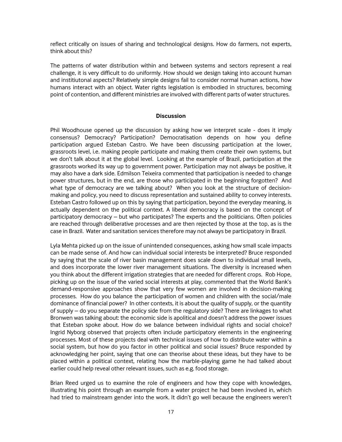reflect critically on issues of sharing and technological designs. How do farmers, not experts, think about this?

The patterns of water distribution within and between systems and sectors represent a real challenge, it is very difficult to do uniformly. How should we design taking into account human and institiutonal aspects? Relatively simple designs fail to consider normal human actions, how humans interact with an object. Water rights legislation is embodied in structures, becoming point of contention, and different ministries are involved with different parts of water structures.

#### **Discussion**

Phil Woodhouse opened up the discussion by asking how we interpret scale - does it imply consensus? Democracy? Participation? Democratisation depends on how you define participation argued Esteban Castro. We have been discussing participation at the lower, grassroots level, i.e. making people participate and making them create their own systems, but we don't talk about it at the global level. Looking at the example of Brazil, participation at the grassroots worked its way up to government power. Participation may not always be positive, it may also have a dark side. Edmilson Teixeira commented that participation is needed to change power structures, but in the end, are those who participated in the beginning forgotten? And what type of democracy are we talking about? When you look at the structure of decisionmaking and policy, you need to discuss representation and sustained ability to convey interests. Esteban Castro followed up on this by saying that participation, beyond the everyday meaning, is actually dependent on the political context. A liberal democracy is based on the concept of participatory democracy – but who participates? The experts and the politicians. Often policies are reached through deliberative processes and are then rejected by those at the top, as is the case in Brazil. Water and sanitation services therefore may not always be participatory in Brazil.

Lyla Mehta picked up on the issue of unintended consequences, asking how small scale impacts can be made sense of. And how can individual social interests be interpreted? Bruce responded by saying that the scale of river basin management does scale down to individual small levels, and does incorporate the lower river management situations. The diversity is increased when you think about the different irrigation strategies that are needed for different crops. Rob Hope, picking up on the issue of the varied social interests at play, commented that the World Bank's demand-responsive approaches show that very few women are involved in decision-making processes. How do you balance the participation of women and children with the social/male dominance of financial power? In other contexts, it is about the quality of supply, or the quantity of supply – do you separate the policy side from the regulatory side? There are linkages to what Bronwen was talking about: the economic side is apolitical and doesn't address the power issues that Esteban spoke about. How do we balance between individual rights and social choice? Ingrid Nyborg observed that projects often include participatory elements in the engineering processes. Most of these projects deal with technical issues of how to distribute water within a social system, but how do you factor in other political and social issues? Bruce responded by acknowledging her point, saying that one can theorise about these ideas, but they have to be placed within a political context, relating how the marble-playing game he had talked about earlier could help reveal other relevant issues, such as e.g. food storage.

Brian Reed urged us to examine the role of engineers and how they cope with knowledges, illustrating his point through an example from a water project he had been involved in, which had tried to mainstream gender into the work. It didn't go well because the engineers weren't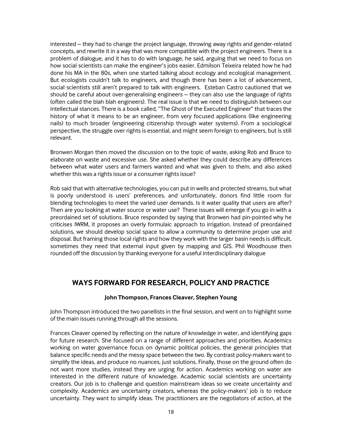interested – they had to change the project language, throwing away rights and gender-related concepts, and rewrite it in a way that was more compatible with the project engineers. There is a problem of dialogue, and it has to do with language, he said, arguing that we need to focus on how social scientists can make the engineer's jobs easier. Edmilson Teixeira related how he had done his MA in the 80s, when one started talking about ecology and ecological management. But ecologists couldn't talk to engineers, and though there has been a lot of advancement, social scientists still aren't prepared to talk with engineers. Esteban Castro cautioned that we should be careful about over-generalising engineers – they can also use the language of rights (often called the blah blah engineers). The real issue is that we need to distinguish between our intellectual stances. There is a book called, "The Ghost of the Executed Engineer" that traces the history of what it means to be an engineer, from very focused applications (like engineering nails) to much broader (engineering citizenship through water systems). From a sociological perspective, the struggle over rights is essential, and might seem foreign to engineers, but is still relevant.

Bronwen Morgan then moved the discussion on to the topic of waste, asking Rob and Bruce to elaborate on waste and excessive use. She asked whether they could describe any differences between what water users and farmers wanted and what was given to them, and also asked whether this was a rights issue or a consumer rights issue?

Rob said that with alternative technologies, you can put in wells and protected streams, but what is poorly understood is users' preferences, and unfortunately, donors find little room for blending technologies to meet the varied user demands. Is it water quality that users are after? Then are you looking at water source or water use? These issues will emerge if you go in with a preordained set of solutions. Bruce responded by saying that Bronwen had pin-pointed why he criticises IWRM, it proposes an overly formulaic approach to irrigation. Instead of preordained solutions, we should develop social space to allow a community to determine proper use and disposal. But framing those local rights and how they work with the larger basin needs is difficult, sometimes they need that external input given by mapping and GIS. Phil Woodhouse then rounded off the discussion by thanking everyone for a useful interdisciplinary dialogue

# <span id="page-19-0"></span>**WAYS FORWARD FOR RESEARCH, POLICY AND PRACTICE**

#### **John Thompson, Frances Cleaver, Stephen Young**

John Thompson introduced the two panellists in the final session, and went on to highlight some of the main issues running through all the sessions.

Frances Cleaver opened by reflecting on the nature of knowledge in water, and identifying gaps for future research. She focused on a range of different approaches and priorities. Academics working on water governance focus on dynamic political policies, the general principles that balance specific needs and the messy space between the two. By contrast policy-makers want to simplify the ideas, and produce no nuances, just solutions. Finally, those on the ground often do not want more studies, instead they are urging for action. Academics working on water are interested in the different nature of knowledge. Academic social scientists are uncertainty creators. Our job is to challenge and question mainstream ideas so we create uncertainty and complexity. Academics are uncertainty creators, whereas the policy-makers' job is to reduce uncertainty. They want to simplify ideas. The practitioners are the negotiators of action, at the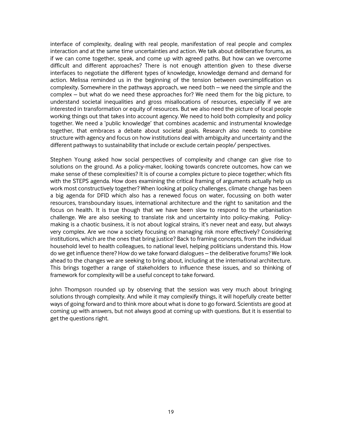interface of complexity, dealing with real people, manifestation of real people and complex interaction and at the same time uncertainties and action. We talk about deliberative forums, as if we can come together, speak, and come up with agreed paths. But how can we overcome difficult and different approaches? There is not enough attention given to these diverse interfaces to negotiate the different types of knowledge, knowledge demand and demand for action. Melissa reminded us in the beginning of the tension between oversimplification vs complexity. Somewhere in the pathways approach, we need both – we need the simple and the complex – but what do we need these approaches for? We need them for the big picture, to understand societal inequalities and gross misallocations of resources, especially if we are interested in transformation or equity of resources. But we also need the picture of local people working things out that takes into account agency. We need to hold both complexity and policy together. We need a 'public knowledge' that combines academic and instrumental knowledge together, that embraces a debate about societal goals. Research also needs to combine structure with agency and focus on how institutions deal with ambiguity and uncertainty and the different pathways to sustainability that include or exclude certain people/ perspectives.

Stephen Young asked how social perspectives of complexity and change can give rise to solutions on the ground. As a policy-maker, looking towards concrete outcomes, how can we make sense of these complexities? It is of course a complex picture to piece together; which fits with the STEPS agenda. How does examining the critical framing of arguments actually help us work most constructively together? When looking at policy challenges, climate change has been a big agenda for DFID which also has a renewed focus on water, focussing on both water resources, transboundary issues, international architecture and the right to sanitation and the focus on health. It is true though that we have been slow to respond to the urbanisation challenge. We are also seeking to translate risk and uncertainty into policy-making. Policymaking is a chaotic business, it is not about logical strains, it's never neat and easy, but always very complex. Are we now a society focusing on managing risk more effectively? Considering institutions, which are the ones that bring justice? Back to framing concepts, from the individual household level to health colleagues, to national level, helping politicians understand this. How do we get influence there? How do we take forward dialogues – the deliberative forums? We look ahead to the changes we are seeking to bring about, including at the international architecture. This brings together a range of stakeholders to influence these issues, and so thinking of framework for complexity will be a useful concept to take forward.

John Thompson rounded up by observing that the session was very much about bringing solutions through complexity. And while it may complexify things, it will hopefully create better ways of going forward and to think more about what is done to go forward. Scientists are good at coming up with answers, but not always good at coming up with questions. But it is essential to get the questions right.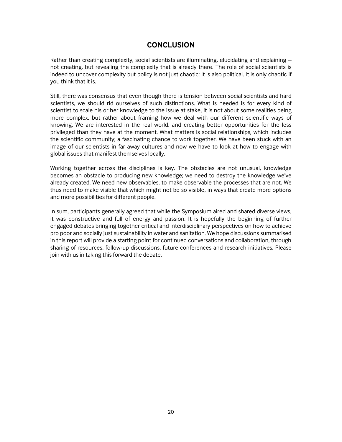# **CONCLUSION**

<span id="page-21-0"></span>Rather than creating complexity, social scientists are illuminating, elucidating and explaining – not creating, but revealing the complexity that is already there. The role of social scientists is indeed to uncover complexity but policy is not just chaotic: It is also political. It is only chaotic if you think that it is.

Still, there was consensus that even though there is tension between social scientists and hard scientists, we should rid ourselves of such distinctions. What is needed is for every kind of scientist to scale his or her knowledge to the issue at stake, it is not about some realities being more complex, but rather about framing how we deal with our different scientific ways of knowing. We are interested in the real world, and creating better opportunities for the less privileged than they have at the moment. What matters is social relationships, which includes the scientific community; a fascinating chance to work together. We have been stuck with an image of our scientists in far away cultures and now we have to look at how to engage with global issues that manifest themselves locally.

Working together across the disciplines is key. The obstacles are not unusual, knowledge becomes an obstacle to producing new knowledge; we need to destroy the knowledge we've already created. We need new observables, to make observable the processes that are not. We thus need to make visible that which might not be so visible, in ways that create more options and more possibilities for different people.

In sum, participants generally agreed that while the Symposium aired and shared diverse views, it was constructive and full of energy and passion. It is hopefully the beginning of further engaged debates bringing together critical and interdisciplinary perspectives on how to achieve pro poor and socially just sustainability in water and sanitation. We hope discussions summarised in this report will provide a starting point for continued conversations and collaboration, through sharing of resources, follow-up discussions, future conferences and research initiatives. Please join with us in taking this forward the debate.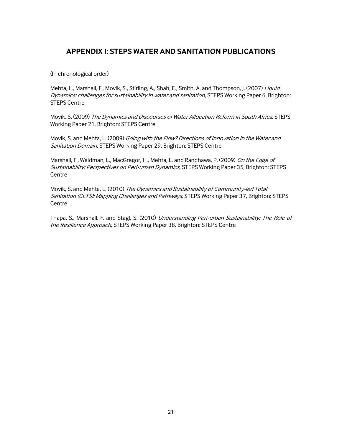# <span id="page-22-0"></span>**APPENDIX I: STEPS WATER AND SANITATION PUBLICATIONS**

(In chronological order)

Mehta, L., Marshall, F., Movik, S., Stirling, A., Shah, E., Smith, A. and Thompson, J. (2007) Liquid Dynamics: challenges for sustainability in water and sanitation, STEPS Working Paper 6, Brighton: STEPS Centre

Movik, S. (2009) The Dynamics and Discourses of Water Allocation Reform in South Africa, STEPS Working Paper 21, Brighton: STEPS Centre

Movik, S. and Mehta, L. (2009) Going with the Flow? Directions of Innovation in the Water and Sanitation Domain, STEPS Working Paper 29, Brighton: STEPS Centre

Marshall, F., Waldman, L., MacGregor, H., Mehta, L. and Randhawa, P. (2009) On the Edge of Sustainability: Perspectives on Peri-urban Dynamics, STEPS Working Paper 35, Brighton: STEPS **Centre** 

Movik, S. and Mehta, L. (2010) The Dynamics and Sustainability of Community-led Total Sanitation (CLTS): Mapping Challenges and Pathways, STEPS Working Paper 37, Brighton: STEPS **Centre** 

Thapa, S., Marshall, F. and Stagl, S. (2010) Understanding Peri-urban Sustainability: The Role of the Resilience Approach, STEPS Working Paper 38, Brighton: STEPS Centre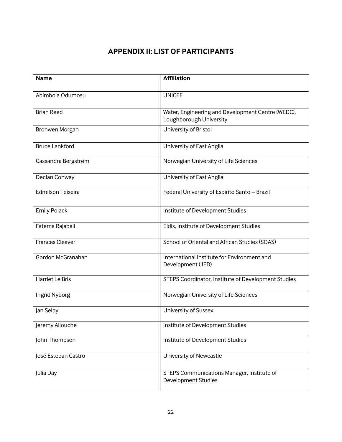# **APPENDIX II: LIST OF PARTICIPANTS**

<span id="page-23-0"></span>

| <b>Name</b>              | <b>Affiliation</b>                                                           |
|--------------------------|------------------------------------------------------------------------------|
| Abimbola Odumosu         | <b>UNICEF</b>                                                                |
| <b>Brian Reed</b>        | Water, Engineering and Development Centre (WEDC),<br>Loughborough University |
| Bronwen Morgan           | University of Bristol                                                        |
| <b>Bruce Lankford</b>    | University of East Anglia                                                    |
| Cassandra Bergstrøm      | Norwegian University of Life Sciences                                        |
| Declan Conway            | University of East Anglia                                                    |
| <b>Edmilson Teixeira</b> | Federal University of Espirito Santo - Brazil                                |
| <b>Emily Polack</b>      | Institute of Development Studies                                             |
| Fatema Rajabali          | Eldis, Institute of Development Studies                                      |
| <b>Frances Cleaver</b>   | School of Oriental and African Studies (SOAS)                                |
| Gordon McGranahan        | International Institute for Environment and<br>Development (IIED)            |
| Harriet Le Bris          | STEPS Coordinator, Institute of Development Studies                          |
| Ingrid Nyborg            | Norwegian University of Life Sciences                                        |
| Jan Selby                | University of Sussex                                                         |
| Jeremy Allouche          | Institute of Development Studies                                             |
| John Thompson            | Institute of Development Studies                                             |
| José Esteban Castro      | University of Newcastle                                                      |
| Julia Day                | STEPS Communications Manager, Institute of<br><b>Development Studies</b>     |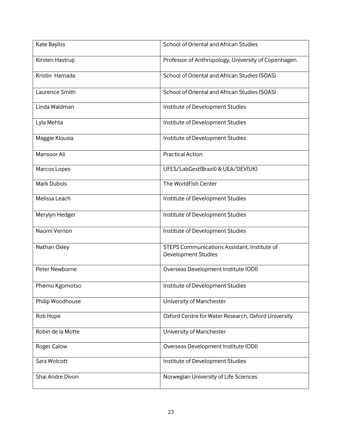| Kate Bayliss       | School of Oriental and African Studies                                     |
|--------------------|----------------------------------------------------------------------------|
| Kirsten Hastrup    | Professor of Anthropology, University of Copenhagen                        |
| Kristin Hamada     | School of Oriental and African Studies (SOAS)                              |
| Laurence Smith     | School of Oriental and African Studies (SOAS)                              |
| Linda Waldman      | Institute of Development Studies                                           |
| Lyla Mehta         | Institute of Development Studies                                           |
| Maggie Klousia     | Institute of Development Studies                                           |
| Mansoor Ali        | <b>Practical Action</b>                                                    |
| Marcos Lopes       | UFES/LabGest(Brazil) & UEA/DEV(UK)                                         |
| <b>Mark Dubois</b> | The WorldFish Center                                                       |
| Melissa Leach      | Institute of Development Studies                                           |
| Merylyn Hedger     | Institute of Development Studies                                           |
| Naomi Vernon       | Institute of Development Studies                                           |
| Nathan Oxley       | STEPS Communications Assistant, Institute of<br><b>Development Studies</b> |
| Peter Newborne     | Overseas Development Institute (ODI)                                       |
| Phemo Kgomotso     | Institute of Development Studies                                           |
| Philip Woodhouse   | University of Manchester                                                   |
| Rob Hope           | Oxford Centre for Water Research, Oxford University                        |
| Robin de la Motte  | University of Manchester                                                   |
| Roger Calow        | Overseas Development Institute (ODI)                                       |
| Sara Wolcott       | Institute of Development Studies                                           |
| Shai Andre Divon   | Norwegian University of Life Sciences                                      |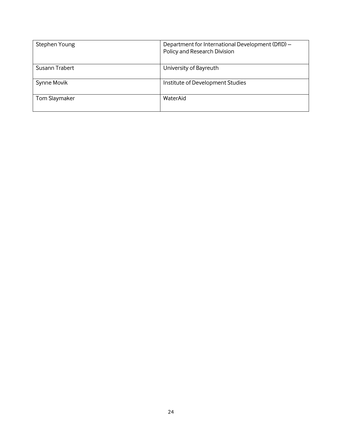| Stephen Young  | Department for International Development (DfID) -<br>Policy and Research Division |
|----------------|-----------------------------------------------------------------------------------|
| Susann Trabert | University of Bayreuth                                                            |
| Synne Movik    | Institute of Development Studies                                                  |
| Tom Slaymaker  | WaterAid                                                                          |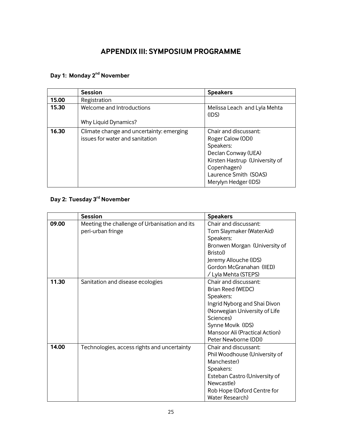# **APPENDIX III: SYMPOSIUM PROGRAMME**

# <span id="page-26-0"></span>**Day 1: Monday 2nd November**

|       | <b>Session</b>                                                              | <b>Speakers</b>                                                                                                                                                                  |
|-------|-----------------------------------------------------------------------------|----------------------------------------------------------------------------------------------------------------------------------------------------------------------------------|
| 15.00 | Registration                                                                |                                                                                                                                                                                  |
| 15.30 | Welcome and Introductions<br>Why Liquid Dynamics?                           | Melissa Leach and Lyla Mehta<br>(IDS)                                                                                                                                            |
| 16.30 | Climate change and uncertainty: emerging<br>issues for water and sanitation | Chair and discussant:<br>Roger Calow (ODI)<br>Speakers:<br>Declan Conway (UEA)<br>Kirsten Hastrup (University of<br>Copenhagen)<br>Laurence Smith (SOAS)<br>Merylyn Hedger (IDS) |

# **Day 2: Tuesday 3rd November**

|       | <b>Session</b>                                                     | <b>Speakers</b>                                                                                                                                                                                                      |
|-------|--------------------------------------------------------------------|----------------------------------------------------------------------------------------------------------------------------------------------------------------------------------------------------------------------|
| 09.00 | Meeting the challenge of Urbanisation and its<br>peri-urban fringe | Chair and discussant:<br>Tom Slaymaker (WaterAid)<br>Speakers:<br>Bronwen Morgan (University of<br><b>Bristol</b> )<br>Jeremy Allouche (IDS)<br>Gordon McGranahan (IIED)<br>/ Lyla Mehta (STEPS)                     |
| 11.30 | Sanitation and disease ecologies                                   | Chair and discussant:<br>Brian Reed (WEDC)<br>Speakers:<br>Ingrid Nyborg and Shai Divon<br>(Norwegian University of Life<br>Sciences)<br>Synne Movik (IDS)<br>Mansoor Ali (Practical Action)<br>Peter Newborne (ODI) |
| 14.00 | Technologies, access rights and uncertainty                        | Chair and discussant:<br>Phil Woodhouse (University of<br>Manchester)<br>Speakers:<br>Esteban Castro (University of<br>Newcastle)<br>Rob Hope (Oxford Centre for<br>Water Research)                                  |